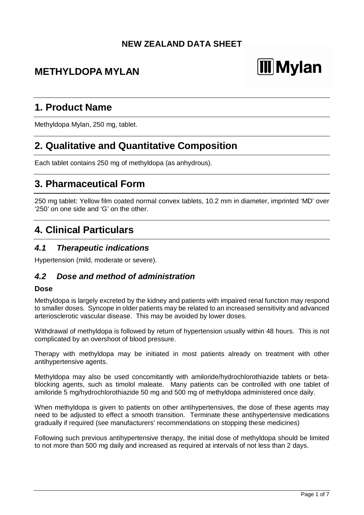### **NEW ZEALAND DATA SHEET**

# **METHYLDOPA MYLAN**

# **III** Mylan

# **1. Product Name**

Methyldopa Mylan, 250 mg, tablet.

# **2. Qualitative and Quantitative Composition**

Each tablet contains 250 mg of methyldopa (as anhydrous).

### **3. Pharmaceutical Form**

250 mg tablet: Yellow film coated normal convex tablets, 10.2 mm in diameter, imprinted 'MD' over '250' on one side and 'G' on the other.

# **4. Clinical Particulars**

#### *4.1 Therapeutic indications*

Hypertension (mild, moderate or severe).

#### *4.2 Dose and method of administration*

#### **Dose**

Methyldopa is largely excreted by the kidney and patients with impaired renal function may respond to smaller doses. Syncope in older patients may be related to an increased sensitivity and advanced arteriosclerotic vascular disease. This may be avoided by lower doses.

Withdrawal of methyldopa is followed by return of hypertension usually within 48 hours. This is not complicated by an overshoot of blood pressure.

Therapy with methyldopa may be initiated in most patients already on treatment with other antihypertensive agents.

Methyldopa may also be used concomitantly with amiloride/hydrochlorothiazide tablets or betablocking agents, such as timolol maleate. Many patients can be controlled with one tablet of amiloride 5 mg/hydrochlorothiazide 50 mg and 500 mg of methyldopa administered once daily.

When methyldopa is given to patients on other antihypertensives, the dose of these agents may need to be adjusted to effect a smooth transition. Terminate these antihypertensive medications gradually if required (see manufacturers' recommendations on stopping these medicines)

Following such previous antihypertensive therapy, the initial dose of methyldopa should be limited to not more than 500 mg daily and increased as required at intervals of not less than 2 days.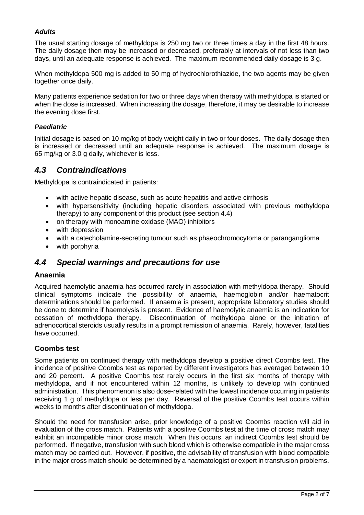#### *Adults*

The usual starting dosage of methyldopa is 250 mg two or three times a day in the first 48 hours. The daily dosage then may be increased or decreased, preferably at intervals of not less than two days, until an adequate response is achieved. The maximum recommended daily dosage is 3 g.

When methyldopa 500 mg is added to 50 mg of hydrochlorothiazide, the two agents may be given together once daily.

Many patients experience sedation for two or three days when therapy with methyldopa is started or when the dose is increased. When increasing the dosage, therefore, it may be desirable to increase the evening dose first.

#### *Paediatric*

Initial dosage is based on 10 mg/kg of body weight daily in two or four doses. The daily dosage then is increased or decreased until an adequate response is achieved. The maximum dosage is 65 mg/kg or 3.0 g daily, whichever is less.

### *4.3 Contraindications*

Methyldopa is contraindicated in patients:

- with active hepatic disease, such as acute hepatitis and active cirrhosis
- with hypersensitivity (including hepatic disorders associated with previous methyldopa therapy) to any component of this product (see section 4.4)
- on therapy with monoamine oxidase (MAO) inhibitors
- with depression
- with a catecholamine-secreting tumour such as phaeochromocytoma or paranganglioma
- with porphyria

### *4.4 Special warnings and precautions for use*

#### **Anaemia**

Acquired haemolytic anaemia has occurred rarely in association with methyldopa therapy. Should clinical symptoms indicate the possibility of anaemia, haemoglobin and/or haematocrit determinations should be performed. If anaemia is present, appropriate laboratory studies should be done to determine if haemolysis is present. Evidence of haemolytic anaemia is an indication for cessation of methyldopa therapy. Discontinuation of methyldopa alone or the initiation of adrenocortical steroids usually results in a prompt remission of anaemia. Rarely, however, fatalities have occurred.

#### **Coombs test**

Some patients on continued therapy with methyldopa develop a positive direct Coombs test. The incidence of positive Coombs test as reported by different investigators has averaged between 10 and 20 percent. A positive Coombs test rarely occurs in the first six months of therapy with methyldopa, and if not encountered within 12 months, is unlikely to develop with continued administration. This phenomenon is also dose-related with the lowest incidence occurring in patients receiving 1 g of methyldopa or less per day. Reversal of the positive Coombs test occurs within weeks to months after discontinuation of methyldopa.

Should the need for transfusion arise, prior knowledge of a positive Coombs reaction will aid in evaluation of the cross match. Patients with a positive Coombs test at the time of cross match may exhibit an incompatible minor cross match. When this occurs, an indirect Coombs test should be performed. If negative, transfusion with such blood which is otherwise compatible in the major cross match may be carried out. However, if positive, the advisability of transfusion with blood compatible in the major cross match should be determined by a haematologist or expert in transfusion problems.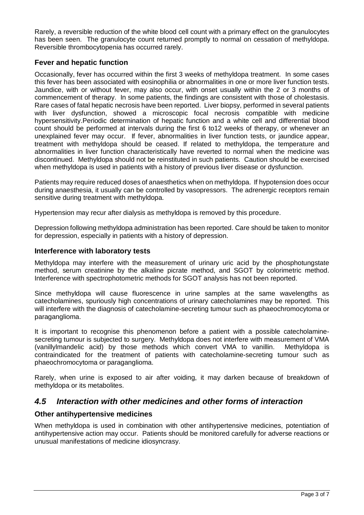Rarely, a reversible reduction of the white blood cell count with a primary effect on the granulocytes has been seen. The granulocyte count returned promptly to normal on cessation of methyldopa. Reversible thrombocytopenia has occurred rarely.

#### **Fever and hepatic function**

Occasionally, fever has occurred within the first 3 weeks of methyldopa treatment. In some cases this fever has been associated with eosinophilia or abnormalities in one or more liver function tests. Jaundice, with or without fever, may also occur, with onset usually within the 2 or 3 months of commencement of therapy. In some patients, the findings are consistent with those of cholestasis. Rare cases of fatal hepatic necrosis have been reported. Liver biopsy, performed in several patients with liver dysfunction, showed a microscopic focal necrosis compatible with medicine hypersensitivity.Periodic determination of hepatic function and a white cell and differential blood count should be performed at intervals during the first 6 to12 weeks of therapy, or whenever an unexplained fever may occur. If fever, abnormalities in liver function tests, or jaundice appear, treatment with methyldopa should be ceased. If related to methyldopa, the temperature and abnormalities in liver function characteristically have reverted to normal when the medicine was discontinued. Methyldopa should not be reinstituted in such patients. Caution should be exercised when methyldopa is used in patients with a history of previous liver disease or dysfunction.

Patients may require reduced doses of anaesthetics when on methyldopa. If hypotension does occur during anaesthesia, it usually can be controlled by vasopressors. The adrenergic receptors remain sensitive during treatment with methyldopa.

Hypertension may recur after dialysis as methyldopa is removed by this procedure.

Depression following methyldopa administration has been reported. Care should be taken to monitor for depression, especially in patients with a history of depression.

#### **Interference with laboratory tests**

Methyldopa may interfere with the measurement of urinary uric acid by the phosphotungstate method, serum creatinine by the alkaline picrate method, and SGOT by colorimetric method. Interference with spectrophotometric methods for SGOT analysis has not been reported.

Since methyldopa will cause fluorescence in urine samples at the same wavelengths as catecholamines, spuriously high concentrations of urinary catecholamines may be reported. This will interfere with the diagnosis of catecholamine-secreting tumour such as phaeochromocytoma or paraganglioma.

It is important to recognise this phenomenon before a patient with a possible catecholaminesecreting tumour is subjected to surgery. Methyldopa does not interfere with measurement of VMA (vanillylmandelic acid) by those methods which convert VMA to vanillin. Methyldopa is contraindicated for the treatment of patients with catecholamine-secreting tumour such as phaeochromocytoma or paraganglioma.

Rarely, when urine is exposed to air after voiding, it may darken because of breakdown of methyldopa or its metabolites.

#### *4.5 Interaction with other medicines and other forms of interaction*

#### **Other antihypertensive medicines**

When methyldopa is used in combination with other antihypertensive medicines, potentiation of antihypertensive action may occur. Patients should be monitored carefully for adverse reactions or unusual manifestations of medicine idiosyncrasy.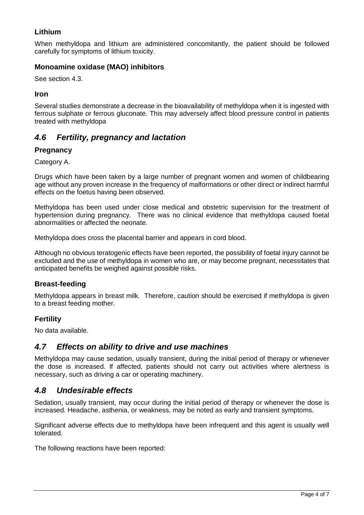#### **Lithium**

When methyldopa and lithium are administered concomitantly, the patient should be followed carefully for symptoms of lithium toxicity.

#### **Monoamine oxidase (MAO) inhibitors**

See section 4.3.

#### **Iron**

Several studies demonstrate a decrease in the bioavailability of methyldopa when it is ingested with ferrous sulphate or ferrous gluconate. This may adversely affect blood pressure control in patients treated with methyldopa

#### *4.6 Fertility, pregnancy and lactation*

#### **Pregnancy**

Category A.

Drugs which have been taken by a large number of pregnant women and women of childbearing age without any proven increase in the frequency of malformations or other direct or indirect harmful effects on the foetus having been observed.

Methyldopa has been used under close medical and obstetric supervision for the treatment of hypertension during pregnancy. There was no clinical evidence that methyldopa caused foetal abnormalities or affected the neonate.

Methyldopa does cross the placental barrier and appears in cord blood.

Although no obvious teratogenic effects have been reported, the possibility of foetal injury cannot be excluded and the use of methyldopa in women who are, or may become pregnant, necessitates that anticipated benefits be weighed against possible risks.

#### **Breast-feeding**

Methyldopa appears in breast milk. Therefore, caution should be exercised if methyldopa is given to a breast feeding mother.

#### **Fertility**

No data available.

#### *4.7 Effects on ability to drive and use machines*

Methyldopa may cause sedation, usually transient, during the initial period of therapy or whenever the dose is increased. If affected, patients should not carry out activities where alertness is necessary, such as driving a car or operating machinery.

#### *4.8 Undesirable effects*

Sedation, usually transient, may occur during the initial period of therapy or whenever the dose is increased. Headache, asthenia, or weakness, may be noted as early and transient symptoms.

Significant adverse effects due to methyldopa have been infrequent and this agent is usually well tolerated.

The following reactions have been reported: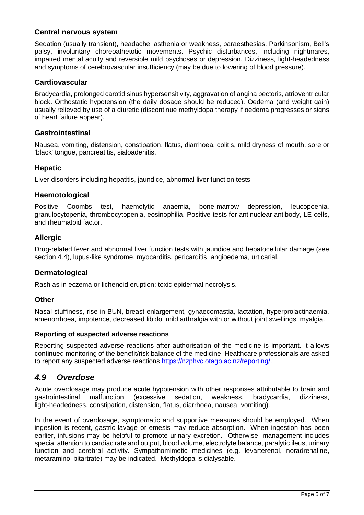#### **Central nervous system**

Sedation (usually transient), headache, asthenia or weakness, paraesthesias, Parkinsonism, Bell's palsy, involuntary choreoathetotic movements. Psychic disturbances, including nightmares, impaired mental acuity and reversible mild psychoses or depression. Dizziness, light-headedness and symptoms of cerebrovascular insufficiency (may be due to lowering of blood pressure).

#### **Cardiovascular**

Bradycardia, prolonged carotid sinus hypersensitivity, aggravation of angina pectoris, atrioventricular block. Orthostatic hypotension (the daily dosage should be reduced). Oedema (and weight gain) usually relieved by use of a diuretic (discontinue methyldopa therapy if oedema progresses or signs of heart failure appear).

#### **Gastrointestinal**

Nausea, vomiting, distension, constipation, flatus, diarrhoea, colitis, mild dryness of mouth, sore or 'black' tongue, pancreatitis, sialoadenitis.

#### **Hepatic**

Liver disorders including hepatitis, jaundice, abnormal liver function tests.

#### **Haemotological**

Positive Coombs test, haemolytic anaemia, bone-marrow depression, leucopoenia, granulocytopenia, thrombocytopenia, eosinophilia. Positive tests for antinuclear antibody, LE cells, and rheumatoid factor.

#### **Allergic**

Drug-related fever and abnormal liver function tests with jaundice and hepatocellular damage (see section 4.4), lupus-like syndrome, myocarditis, pericarditis, angioedema, urticarial.

#### **Dermatological**

Rash as in eczema or lichenoid eruption; toxic epidermal necrolysis.

#### **Other**

Nasal stuffiness, rise in BUN, breast enlargement, gynaecomastia, lactation, hyperprolactinaemia, amenorrhoea, impotence, decreased libido, mild arthralgia with or without joint swellings, myalgia.

#### **Reporting of suspected adverse reactions**

Reporting suspected adverse reactions after authorisation of the medicine is important. It allows continued monitoring of the benefit/risk balance of the medicine. Healthcare professionals are asked to report any suspected adverse reactions https://nzphvc.otago.ac.nz/reporting/.

#### *4.9 Overdose*

Acute overdosage may produce acute hypotension with other responses attributable to brain and gastrointestinal malfunction (excessive sedation, weakness, bradycardia, dizziness, light-headedness, constipation, distension, flatus, diarrhoea, nausea, vomiting).

In the event of overdosage, symptomatic and supportive measures should be employed. When ingestion is recent, gastric lavage or emesis may reduce absorption. When ingestion has been earlier, infusions may be helpful to promote urinary excretion. Otherwise, management includes special attention to cardiac rate and output, blood volume, electrolyte balance, paralytic ileus, urinary function and cerebral activity. Sympathomimetic medicines (e.g. levarterenol, noradrenaline, metaraminol bitartrate) may be indicated. Methyldopa is dialysable.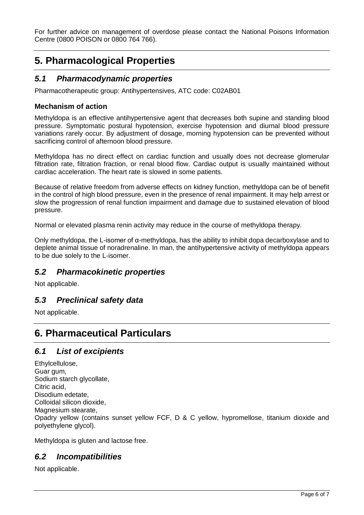For further advice on management of overdose please contact the National Poisons Information Centre (0800 POISON or 0800 764 766).

# **5. Pharmacological Properties**

### *5.1 Pharmacodynamic properties*

Pharmacotherapeutic group: Antihypertensives, ATC code: C02AB01

#### **Mechanism of action**

Methyldopa is an effective antihypertensive agent that decreases both supine and standing blood pressure. Symptomatic postural hypotension, exercise hypotension and diurnal blood pressure variations rarely occur. By adjustment of dosage, morning hypotension can be prevented without sacrificing control of afternoon blood pressure.

Methyldopa has no direct effect on cardiac function and usually does not decrease glomerular filtration rate, filtration fraction, or renal blood flow. Cardiac output is usually maintained without cardiac acceleration. The heart rate is slowed in some patients.

Because of relative freedom from adverse effects on kidney function, methyldopa can be of benefit in the control of high blood pressure, even in the presence of renal impairment. It may help arrest or slow the progression of renal function impairment and damage due to sustained elevation of blood pressure.

Normal or elevated plasma renin activity may reduce in the course of methyldopa therapy.

Only methyldopa, the L-isomer of α-methyldopa, has the ability to inhibit dopa decarboxylase and to deplete animal tissue of noradrenaline. In man, the antihypertensive activity of methyldopa appears to be due solely to the L-isomer.

#### *5.2 Pharmacokinetic properties*

Not applicable.

#### *5.3 Preclinical safety data*

Not applicable.

### **6. Pharmaceutical Particulars**

#### *6.1 List of excipients*

Ethylcellulose, Guar gum, Sodium starch glycollate, Citric acid, Disodium edetate, Colloidal silicon dioxide, Magnesium stearate, Opadry yellow (contains sunset yellow FCF, D & C yellow, hypromellose, titanium dioxide and polyethylene glycol).

Methyldopa is gluten and lactose free.

#### *6.2 Incompatibilities*

Not applicable.